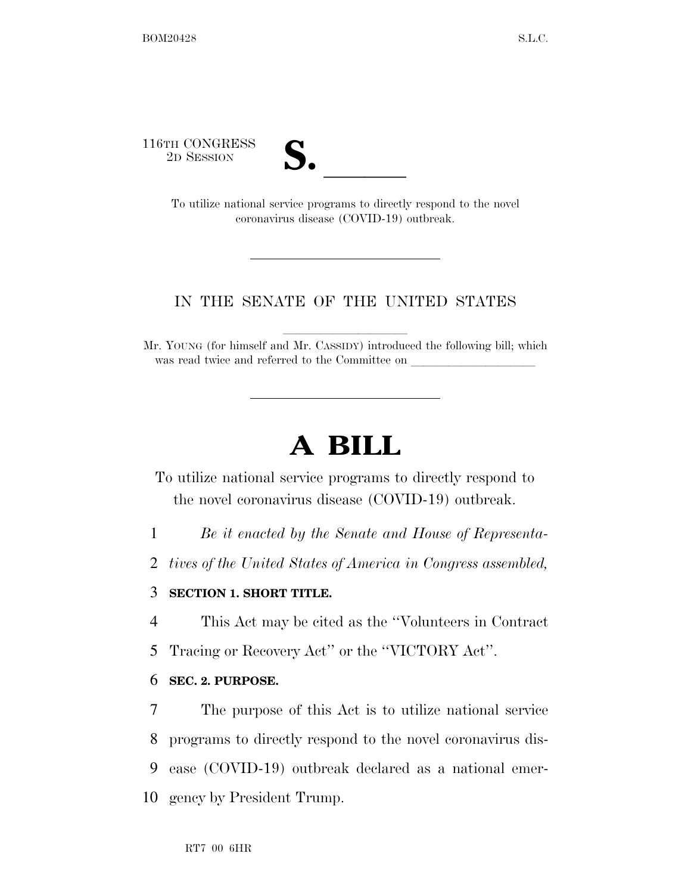116TH CONGRESS



TH CONGRESS<br>
2D SESSION<br>
To utilize national service programs to directly respond to the novel coronavirus disease (COVID-19) outbreak.

## IN THE SENATE OF THE UNITED STATES

Mr. YOUNG (for himself and Mr. CASSIDY) introduced the following bill; which was read twice and referred to the Committee on

# **A BILL**

To utilize national service programs to directly respond to the novel coronavirus disease (COVID-19) outbreak.

1 *Be it enacted by the Senate and House of Representa-*

2 *tives of the United States of America in Congress assembled,* 

## 3 **SECTION 1. SHORT TITLE.**

4 This Act may be cited as the ''Volunteers in Contract

5 Tracing or Recovery Act'' or the ''VICTORY Act''.

### 6 **SEC. 2. PURPOSE.**

 The purpose of this Act is to utilize national service programs to directly respond to the novel coronavirus dis- ease (COVID-19) outbreak declared as a national emer-gency by President Trump.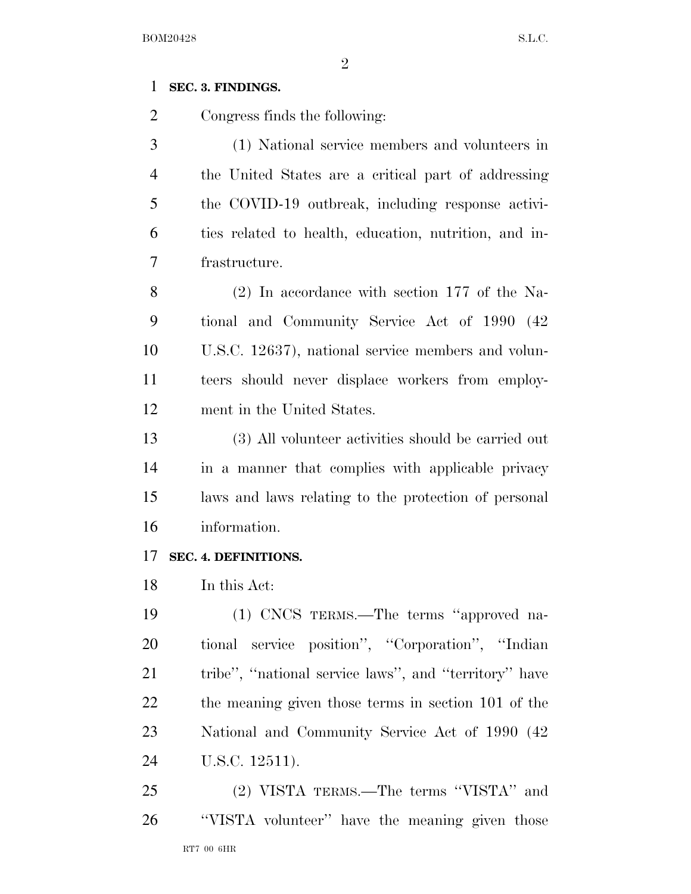### **SEC. 3. FINDINGS.**

Congress finds the following:

 (1) National service members and volunteers in the United States are a critical part of addressing the COVID-19 outbreak, including response activi- ties related to health, education, nutrition, and in-frastructure.

 (2) In accordance with section 177 of the Na- tional and Community Service Act of 1990 (42 U.S.C. 12637), national service members and volun- teers should never displace workers from employ-ment in the United States.

 (3) All volunteer activities should be carried out in a manner that complies with applicable privacy laws and laws relating to the protection of personal information.

#### **SEC. 4. DEFINITIONS.**

In this Act:

 (1) CNCS TERMS.—The terms ''approved na- tional service position'', ''Corporation'', ''Indian tribe'', ''national service laws'', and ''territory'' have the meaning given those terms in section 101 of the National and Community Service Act of 1990 (42 U.S.C. 12511).

RT7 00 6HR (2) VISTA TERMS.—The terms ''VISTA'' and ''VISTA volunteer'' have the meaning given those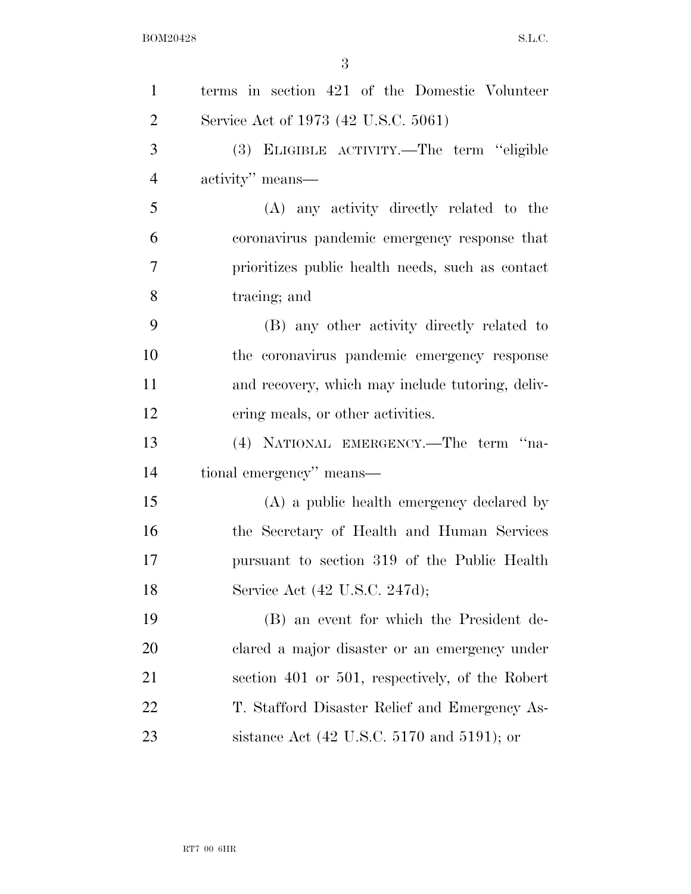| $\mathbf{1}$   | terms in section 421 of the Domestic Volunteer                  |
|----------------|-----------------------------------------------------------------|
| $\overline{2}$ | Service Act of 1973 (42 U.S.C. 5061)                            |
| 3              | (3) ELIGIBLE ACTIVITY.—The term "eligible                       |
| $\overline{4}$ | activity" means—                                                |
| 5              | (A) any activity directly related to the                        |
| 6              | coronavirus pandemic emergency response that                    |
| $\tau$         | prioritizes public health needs, such as contact                |
| 8              | tracing; and                                                    |
| 9              | (B) any other activity directly related to                      |
| 10             | the coronavirus pandemic emergency response                     |
| 11             | and recovery, which may include tutoring, deliv-                |
| 12             | ering meals, or other activities.                               |
| 13             | (4) NATIONAL EMERGENCY.—The term "na-                           |
| 14             | tional emergency" means—                                        |
| 15             | (A) a public health emergency declared by                       |
| 16             | the Secretary of Health and Human Services                      |
| 17             | pursuant to section 319 of the Public Health                    |
| 18             | Service Act (42 U.S.C. 247d);                                   |
| 19             | (B) an event for which the President de-                        |
| 20             | clared a major disaster or an emergency under                   |
| 21             | section 401 or 501, respectively, of the Robert                 |
| 22             | T. Stafford Disaster Relief and Emergency As-                   |
| 23             | sistance Act $(42 \text{ U.S.C. } 5170 \text{ and } 5191)$ ; or |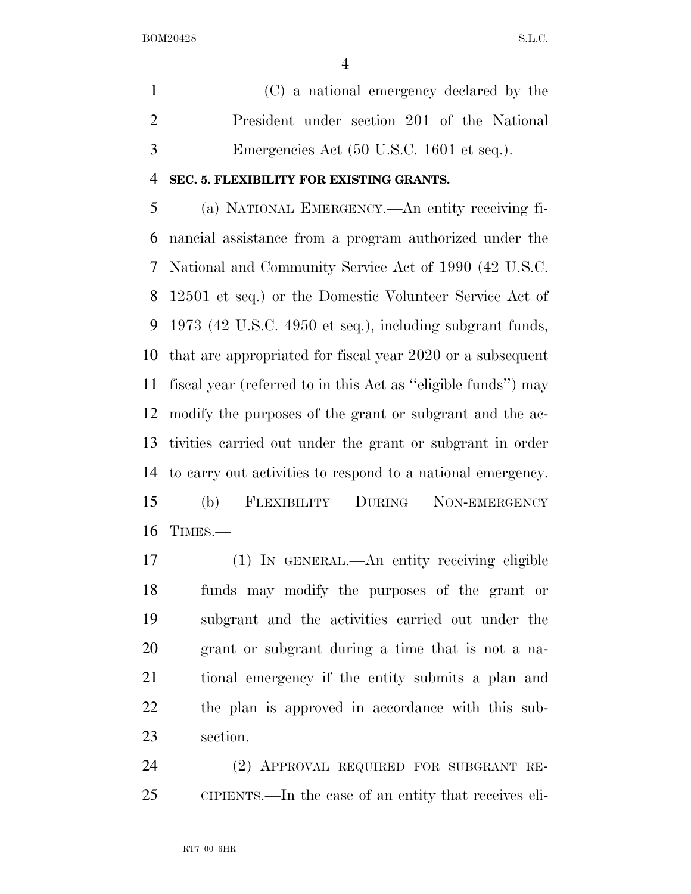(C) a national emergency declared by the President under section 201 of the National Emergencies Act (50 U.S.C. 1601 et seq.).

#### **SEC. 5. FLEXIBILITY FOR EXISTING GRANTS.**

 (a) NATIONAL EMERGENCY.—An entity receiving fi- nancial assistance from a program authorized under the National and Community Service Act of 1990 (42 U.S.C. 12501 et seq.) or the Domestic Volunteer Service Act of 1973 (42 U.S.C. 4950 et seq.), including subgrant funds, that are appropriated for fiscal year 2020 or a subsequent fiscal year (referred to in this Act as ''eligible funds'') may modify the purposes of the grant or subgrant and the ac- tivities carried out under the grant or subgrant in order to carry out activities to respond to a national emergency. (b) FLEXIBILITY DURING NON-EMERGENCY TIMES.—

 (1) IN GENERAL.—An entity receiving eligible funds may modify the purposes of the grant or subgrant and the activities carried out under the grant or subgrant during a time that is not a na- tional emergency if the entity submits a plan and the plan is approved in accordance with this sub-section.

 (2) APPROVAL REQUIRED FOR SUBGRANT RE-CIPIENTS.—In the case of an entity that receives eli-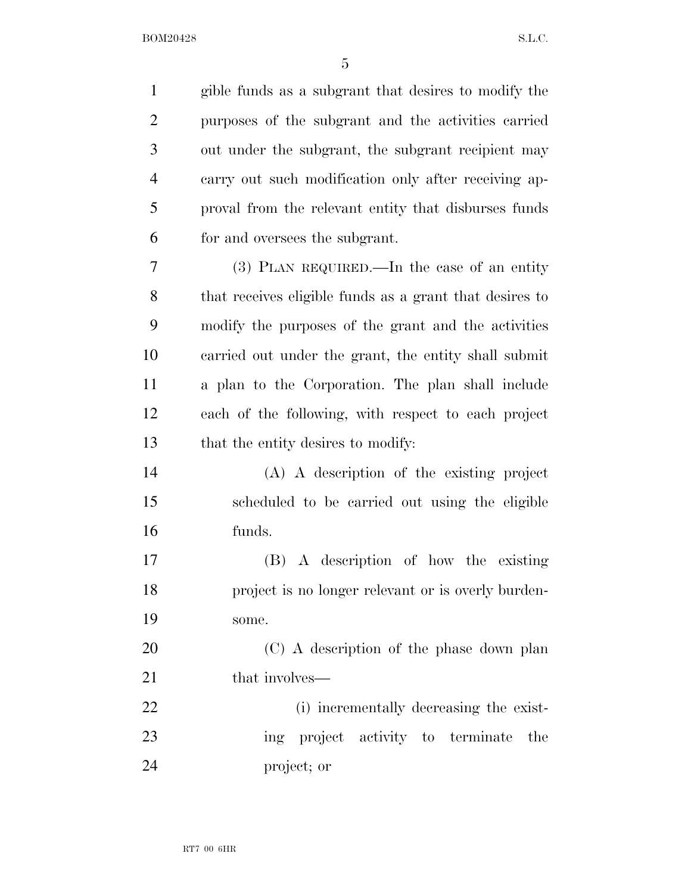| $\mathbf{1}$   | gible funds as a subgrant that desires to modify the    |
|----------------|---------------------------------------------------------|
| $\overline{c}$ | purposes of the subgrant and the activities carried     |
| 3              | out under the subgrant, the subgrant recipient may      |
| $\overline{4}$ | carry out such modification only after receiving ap-    |
| 5              | proval from the relevant entity that disburses funds    |
| 6              | for and oversees the subgrant.                          |
| 7              | $(3)$ PLAN REQUIRED.—In the case of an entity           |
| 8              | that receives eligible funds as a grant that desires to |
| 9              | modify the purposes of the grant and the activities     |
| 10             | carried out under the grant, the entity shall submit    |
| 11             | a plan to the Corporation. The plan shall include       |
| 12             | each of the following, with respect to each project     |
| 13             | that the entity desires to modify:                      |
| 14             | (A) A description of the existing project               |
| 15             | scheduled to be carried out using the eligible          |
| 16             | funds.                                                  |
| 17             | (B) A description of how the existing                   |
| 18             | project is no longer relevant or is overly burden-      |
| 19             | some.                                                   |
| 20             | (C) A description of the phase down plan                |
| 21             | that involves—                                          |
| 22             | (i) incrementally decreasing the exist-                 |
| 23             | ing project activity to terminate<br>the                |
| 24             | project; or                                             |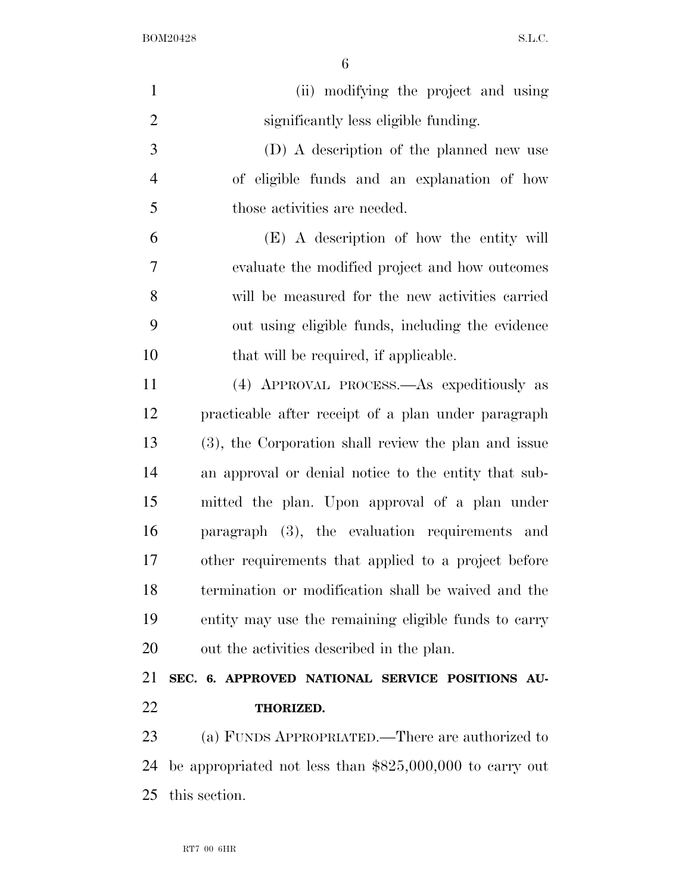| $\mathbf{1}$   | (ii) modifying the project and using                      |
|----------------|-----------------------------------------------------------|
| $\overline{2}$ | significantly less eligible funding.                      |
| 3              | (D) A description of the planned new use                  |
| $\overline{4}$ | of eligible funds and an explanation of how               |
| 5              | those activities are needed.                              |
| 6              | (E) A description of how the entity will                  |
| 7              | evaluate the modified project and how outcomes            |
| 8              | will be measured for the new activities carried           |
| 9              | out using eligible funds, including the evidence          |
| 10             | that will be required, if applicable.                     |
| 11             | (4) APPROVAL PROCESS.—As expeditiously as                 |
| 12             | practicable after receipt of a plan under paragraph       |
| 13             | (3), the Corporation shall review the plan and issue      |
| 14             | an approval or denial notice to the entity that sub-      |
| 15             | mitted the plan. Upon approval of a plan under            |
| 16             | paragraph (3), the evaluation requirements and            |
| 17             | other requirements that applied to a project before       |
| 18             | termination or modification shall be waived and the       |
| 19             | entity may use the remaining eligible funds to carry      |
| 20             | out the activities described in the plan.                 |
| 21             | SEC. 6. APPROVED NATIONAL SERVICE POSITIONS AU-           |
| 22             | THORIZED.                                                 |
| 23             | (a) FUNDS APPROPRIATED.—There are authorized to           |
| 24             | be appropriated not less than $$825,000,000$ to carry out |
| 25             | this section.                                             |
|                |                                                           |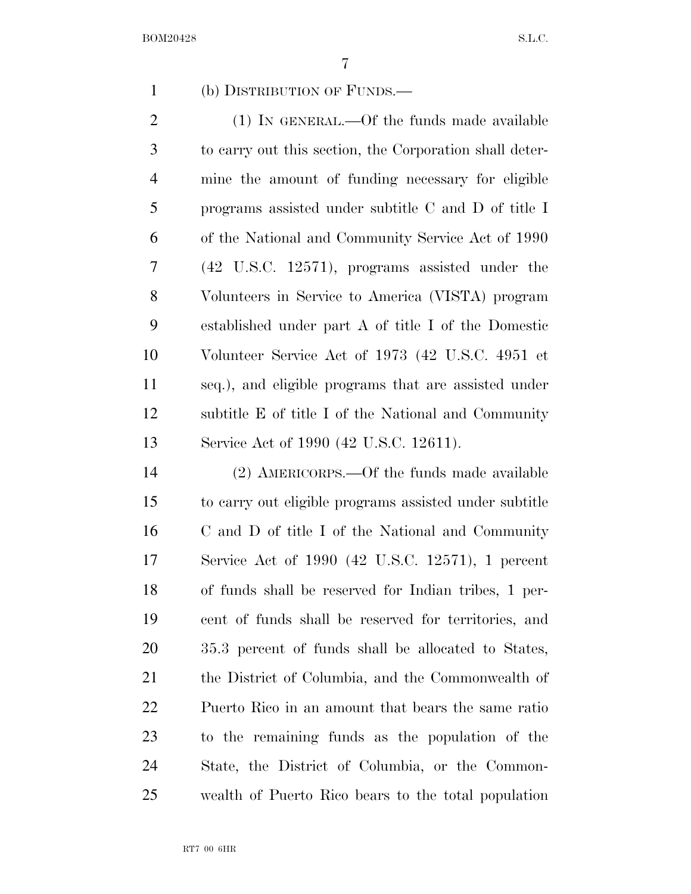## (b) DISTRIBUTION OF FUNDS.—

 (1) IN GENERAL.—Of the funds made available to carry out this section, the Corporation shall deter- mine the amount of funding necessary for eligible programs assisted under subtitle C and D of title I of the National and Community Service Act of 1990 (42 U.S.C. 12571), programs assisted under the Volunteers in Service to America (VISTA) program established under part A of title I of the Domestic Volunteer Service Act of 1973 (42 U.S.C. 4951 et seq.), and eligible programs that are assisted under subtitle E of title I of the National and Community Service Act of 1990 (42 U.S.C. 12611).

 (2) AMERICORPS.—Of the funds made available to carry out eligible programs assisted under subtitle C and D of title I of the National and Community Service Act of 1990 (42 U.S.C. 12571), 1 percent of funds shall be reserved for Indian tribes, 1 per- cent of funds shall be reserved for territories, and 35.3 percent of funds shall be allocated to States, the District of Columbia, and the Commonwealth of Puerto Rico in an amount that bears the same ratio to the remaining funds as the population of the State, the District of Columbia, or the Common-wealth of Puerto Rico bears to the total population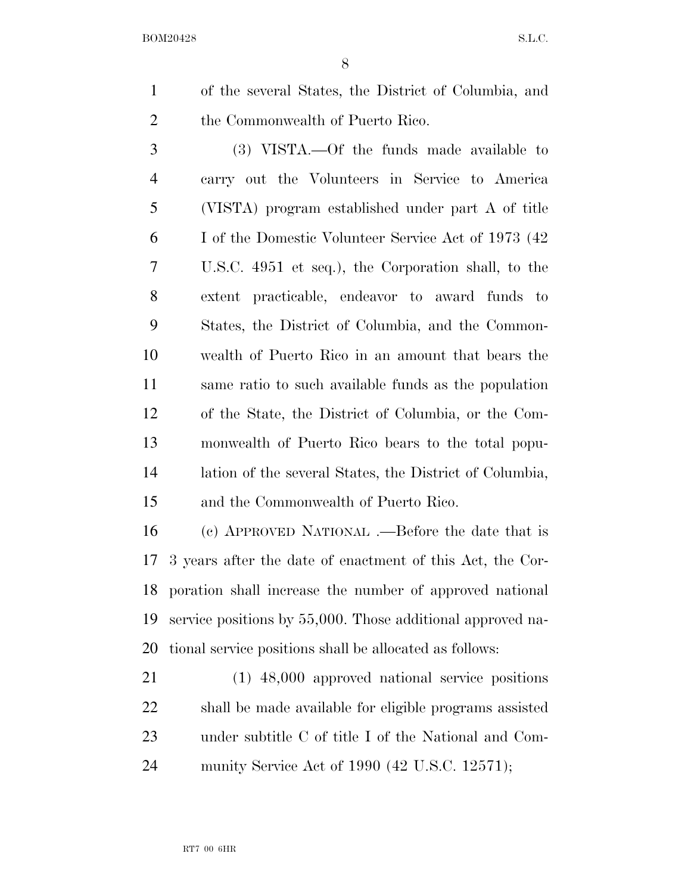of the several States, the District of Columbia, and the Commonwealth of Puerto Rico.

 (3) VISTA.—Of the funds made available to carry out the Volunteers in Service to America (VISTA) program established under part A of title I of the Domestic Volunteer Service Act of 1973 (42 U.S.C. 4951 et seq.), the Corporation shall, to the extent practicable, endeavor to award funds to States, the District of Columbia, and the Common- wealth of Puerto Rico in an amount that bears the same ratio to such available funds as the population of the State, the District of Columbia, or the Com- monwealth of Puerto Rico bears to the total popu- lation of the several States, the District of Columbia, and the Commonwealth of Puerto Rico.

 (c) APPROVED NATIONAL .—Before the date that is 3 years after the date of enactment of this Act, the Cor- poration shall increase the number of approved national service positions by 55,000. Those additional approved na-tional service positions shall be allocated as follows:

 (1) 48,000 approved national service positions shall be made available for eligible programs assisted under subtitle C of title I of the National and Com-munity Service Act of 1990 (42 U.S.C. 12571);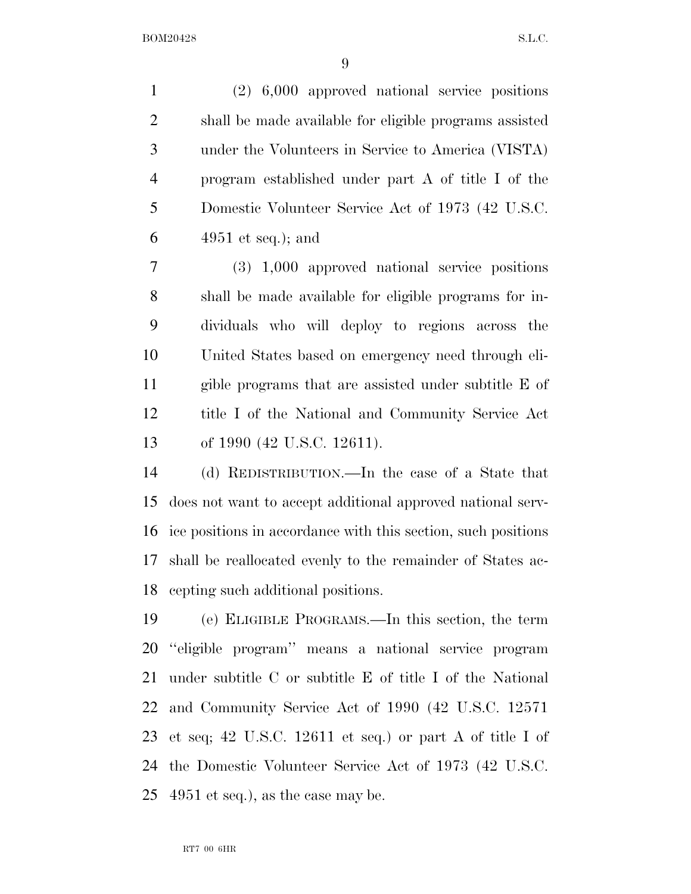(2) 6,000 approved national service positions shall be made available for eligible programs assisted under the Volunteers in Service to America (VISTA) program established under part A of title I of the Domestic Volunteer Service Act of 1973 (42 U.S.C. 4951 et seq.); and

 (3) 1,000 approved national service positions shall be made available for eligible programs for in- dividuals who will deploy to regions across the United States based on emergency need through eli- gible programs that are assisted under subtitle E of title I of the National and Community Service Act of 1990 (42 U.S.C. 12611).

 (d) REDISTRIBUTION.—In the case of a State that does not want to accept additional approved national serv- ice positions in accordance with this section, such positions shall be reallocated evenly to the remainder of States ac-cepting such additional positions.

 (e) ELIGIBLE PROGRAMS.—In this section, the term ''eligible program'' means a national service program under subtitle C or subtitle E of title I of the National and Community Service Act of 1990 (42 U.S.C. 12571 et seq; 42 U.S.C. 12611 et seq.) or part A of title I of the Domestic Volunteer Service Act of 1973 (42 U.S.C. 4951 et seq.), as the case may be.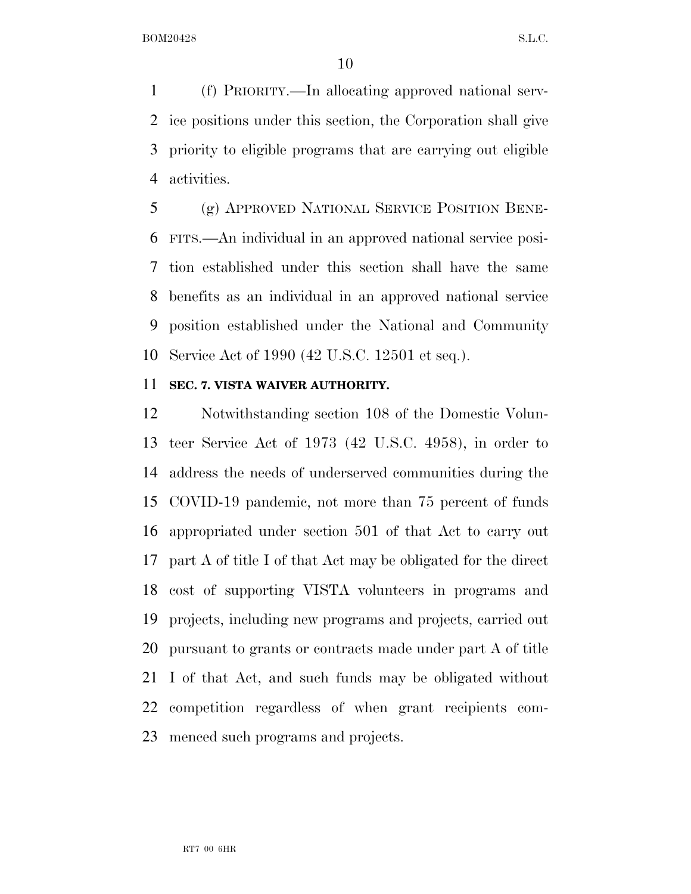(f) PRIORITY.—In allocating approved national serv- ice positions under this section, the Corporation shall give priority to eligible programs that are carrying out eligible activities.

 (g) APPROVED NATIONAL SERVICE POSITION BENE- FITS.—An individual in an approved national service posi- tion established under this section shall have the same benefits as an individual in an approved national service position established under the National and Community Service Act of 1990 (42 U.S.C. 12501 et seq.).

#### **SEC. 7. VISTA WAIVER AUTHORITY.**

 Notwithstanding section 108 of the Domestic Volun- teer Service Act of 1973 (42 U.S.C. 4958), in order to address the needs of underserved communities during the COVID-19 pandemic, not more than 75 percent of funds appropriated under section 501 of that Act to carry out part A of title I of that Act may be obligated for the direct cost of supporting VISTA volunteers in programs and projects, including new programs and projects, carried out pursuant to grants or contracts made under part A of title I of that Act, and such funds may be obligated without competition regardless of when grant recipients com-menced such programs and projects.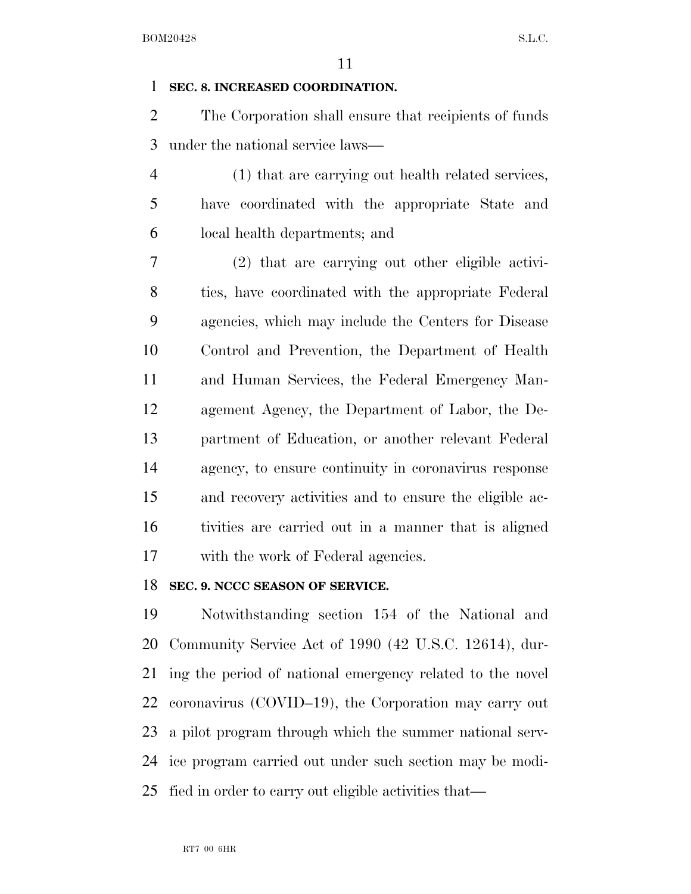## **SEC. 8. INCREASED COORDINATION.**

 The Corporation shall ensure that recipients of funds under the national service laws—

 (1) that are carrying out health related services, have coordinated with the appropriate State and local health departments; and

 (2) that are carrying out other eligible activi- ties, have coordinated with the appropriate Federal agencies, which may include the Centers for Disease Control and Prevention, the Department of Health and Human Services, the Federal Emergency Man- agement Agency, the Department of Labor, the De- partment of Education, or another relevant Federal agency, to ensure continuity in coronavirus response and recovery activities and to ensure the eligible ac- tivities are carried out in a manner that is aligned with the work of Federal agencies.

## **SEC. 9. NCCC SEASON OF SERVICE.**

 Notwithstanding section 154 of the National and Community Service Act of 1990 (42 U.S.C. 12614), dur- ing the period of national emergency related to the novel coronavirus (COVID–19), the Corporation may carry out a pilot program through which the summer national serv- ice program carried out under such section may be modi-fied in order to carry out eligible activities that—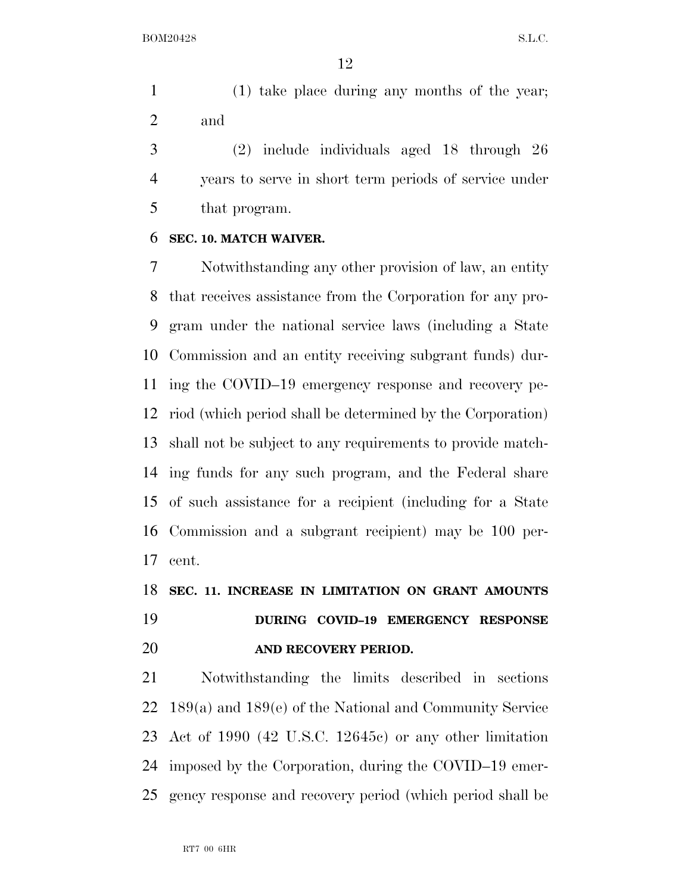(1) take place during any months of the year; and

 (2) include individuals aged 18 through 26 years to serve in short term periods of service under that program.

#### **SEC. 10. MATCH WAIVER.**

 Notwithstanding any other provision of law, an entity that receives assistance from the Corporation for any pro- gram under the national service laws (including a State Commission and an entity receiving subgrant funds) dur- ing the COVID–19 emergency response and recovery pe- riod (which period shall be determined by the Corporation) shall not be subject to any requirements to provide match- ing funds for any such program, and the Federal share of such assistance for a recipient (including for a State Commission and a subgrant recipient) may be 100 per-cent.

## **SEC. 11. INCREASE IN LIMITATION ON GRANT AMOUNTS DURING COVID–19 EMERGENCY RESPONSE AND RECOVERY PERIOD.**

 Notwithstanding the limits described in sections 189(a) and 189(e) of the National and Community Service Act of 1990 (42 U.S.C. 12645c) or any other limitation imposed by the Corporation, during the COVID–19 emer-gency response and recovery period (which period shall be